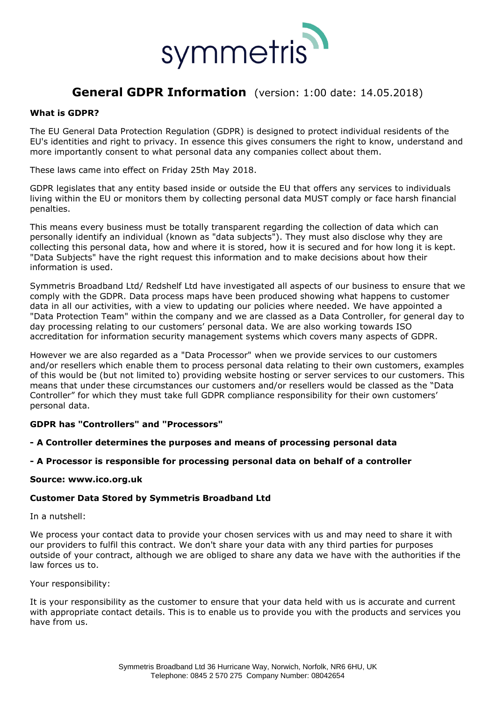

# **General GDPR Information** (version: 1:00 date: 14.05.2018)

## **What is GDPR?**

The EU General Data Protection Regulation (GDPR) is designed to protect individual residents of the EU's identities and right to privacy. In essence this gives consumers the right to know, understand and more importantly consent to what personal data any companies collect about them.

These laws came into effect on Friday 25th May 2018.

GDPR legislates that any entity based inside or outside the EU that offers any services to individuals living within the EU or monitors them by collecting personal data MUST comply or face harsh financial penalties.

This means every business must be totally transparent regarding the collection of data which can personally identify an individual (known as "data subjects"). They must also disclose why they are collecting this personal data, how and where it is stored, how it is secured and for how long it is kept. "Data Subjects" have the right request this information and to make decisions about how their information is used.

Symmetris Broadband Ltd/ Redshelf Ltd have investigated all aspects of our business to ensure that we comply with the GDPR. Data process maps have been produced showing what happens to customer data in all our activities, with a view to updating our policies where needed. We have appointed a "Data Protection Team" within the company and we are classed as a Data Controller, for general day to day processing relating to our customers' personal data. We are also working towards ISO accreditation for information security management systems which covers many aspects of GDPR.

However we are also regarded as a "Data Processor" when we provide services to our customers and/or resellers which enable them to process personal data relating to their own customers, examples of this would be (but not limited to) providing website hosting or server services to our customers. This means that under these circumstances our customers and/or resellers would be classed as the "Data Controller" for which they must take full GDPR compliance responsibility for their own customers' personal data.

### **GDPR has "Controllers" and "Processors"**

- **- A Controller determines the purposes and means of processing personal data**
- **- A Processor is responsible for processing personal data on behalf of a controller**

#### **Source: [www.ico.org.uk](http://www.ico.org.uk/)**

#### **Customer Data Stored by Symmetris Broadband Ltd**

In a nutshell:

We process your contact data to provide your chosen services with us and may need to share it with our providers to fulfil this contract. We don't share your data with any third parties for purposes outside of your contract, although we are obliged to share any data we have with the authorities if the law forces us to.

#### Your responsibility:

It is your responsibility as the customer to ensure that your data held with us is accurate and current with appropriate contact details. This is to enable us to provide you with the products and services you have from us.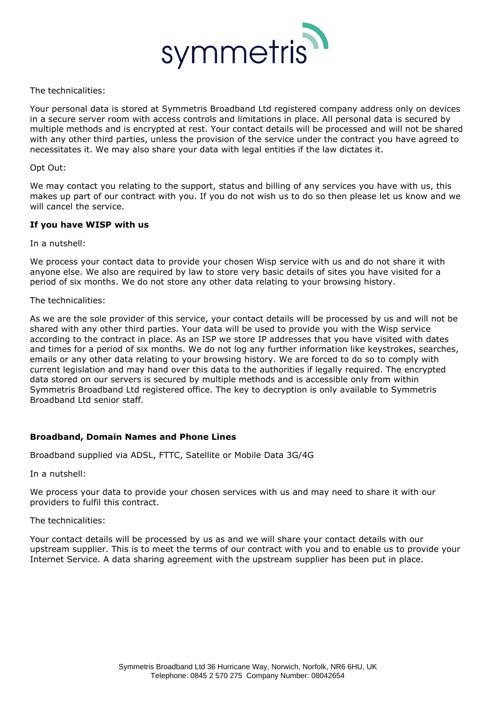

### The technicalities:

Your personal data is stored at Symmetris Broadband Ltd registered company address only on devices in a secure server room with access controls and limitations in place. All personal data is secured by multiple methods and is encrypted at rest. Your contact details will be processed and will not be shared with any other third parties, unless the provision of the service under the contract you have agreed to necessitates it. We may also share your data with legal entities if the law dictates it.

#### Opt Out:

We may contact you relating to the support, status and billing of any services you have with us, this makes up part of our contract with you. If you do not wish us to do so then please let us know and we will cancel the service.

## **If you have WISP with us**

In a nutshell:

We process your contact data to provide your chosen Wisp service with us and do not share it with anyone else. We also are required by law to store very basic details of sites you have visited for a period of six months. We do not store any other data relating to your browsing history.

## The technicalities:

As we are the sole provider of this service, your contact details will be processed by us and will not be shared with any other third parties. Your data will be used to provide you with the Wisp service according to the contract in place. As an ISP we store IP addresses that you have visited with dates and times for a period of six months. We do not log any further information like keystrokes, searches, emails or any other data relating to your browsing history. We are forced to do so to comply with current legislation and may hand over this data to the authorities if legally required. The encrypted data stored on our servers is secured by multiple methods and is accessible only from within Symmetris Broadband Ltd registered office. The key to decryption is only available to Symmetris Broadband Ltd senior staff.

## **Broadband, Domain Names and Phone Lines**

Broadband supplied via ADSL, FTTC, Satellite or Mobile Data 3G/4G

In a nutshell:

We process your data to provide your chosen services with us and may need to share it with our providers to fulfil this contract.

The technicalities:

Your contact details will be processed by us as and we will share your contact details with our upstream supplier. This is to meet the terms of our contract with you and to enable us to provide your Internet Service. A data sharing agreement with the upstream supplier has been put in place.